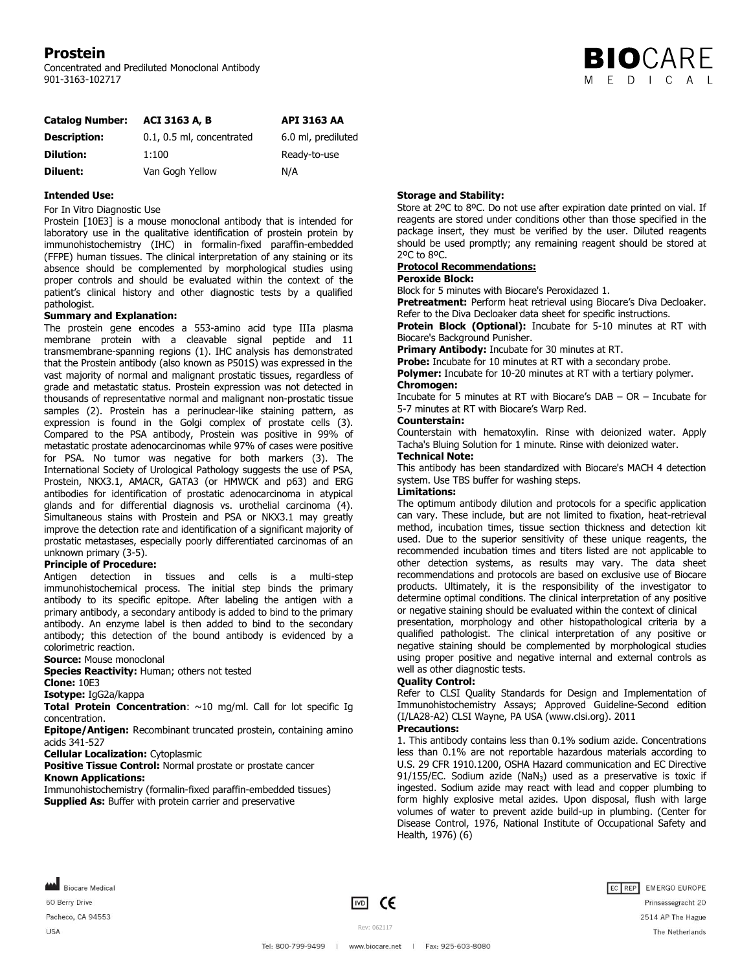# **Prostein**

Concentrated and Prediluted Monoclonal Antibody 901-3163-102717



| <b>Catalog Number:</b> | <b>ACI 3163 A. B.</b>     | <b>API 3163 AA</b> |
|------------------------|---------------------------|--------------------|
| <b>Description:</b>    | 0.1, 0.5 ml, concentrated | 6.0 ml, prediluted |
| <b>Dilution:</b>       | 1:100                     | Ready-to-use       |
| Diluent:               | Van Gogh Yellow           | N/A                |

## **Intended Use:**

For In Vitro Diagnostic Use

Prostein [10E3] is a mouse monoclonal antibody that is intended for laboratory use in the qualitative identification of prostein protein by immunohistochemistry (IHC) in formalin-fixed paraffin-embedded (FFPE) human tissues. The clinical interpretation of any staining or its absence should be complemented by morphological studies using proper controls and should be evaluated within the context of the patient's clinical history and other diagnostic tests by a qualified pathologist.

#### **Summary and Explanation:**

The prostein gene encodes a 553-amino acid type IIIa plasma membrane protein with a cleavable signal peptide and 11 transmembrane-spanning regions (1). IHC analysis has demonstrated that the Prostein antibody (also known as P501S) was expressed in the vast majority of normal and malignant prostatic tissues, regardless of grade and metastatic status. Prostein expression was not detected in thousands of representative normal and malignant non-prostatic tissue samples (2). Prostein has a perinuclear-like staining pattern, as expression is found in the Golgi complex of prostate cells (3). Compared to the PSA antibody, Prostein was positive in 99% of metastatic prostate adenocarcinomas while 97% of cases were positive for PSA. No tumor was negative for both markers (3). The International Society of Urological Pathology suggests the use of PSA, Prostein, NKX3.1, AMACR, GATA3 (or HMWCK and p63) and ERG antibodies for identification of prostatic adenocarcinoma in atypical glands and for differential diagnosis vs. urothelial carcinoma (4). Simultaneous stains with Prostein and PSA or NKX3.1 may greatly improve the detection rate and identification of a significant majority of prostatic metastases, especially poorly differentiated carcinomas of an unknown primary (3-5).

### **Principle of Procedure:**

Antigen detection in tissues and cells is a multi-step immunohistochemical process. The initial step binds the primary antibody to its specific epitope. After labeling the antigen with a primary antibody, a secondary antibody is added to bind to the primary antibody. An enzyme label is then added to bind to the secondary antibody; this detection of the bound antibody is evidenced by a colorimetric reaction.

**Source:** Mouse monoclonal

**Species Reactivity:** Human; others not tested

**Clone:** 10E3

**Isotype:** IgG2a/kappa

**Total Protein Concentration**: ~10 mg/ml. Call for lot specific Ig concentration.

**Epitope/Antigen:** Recombinant truncated prostein, containing amino acids 341-527

**Cellular Localization:** Cytoplasmic

**Positive Tissue Control: Normal prostate or prostate cancer Known Applications:**

Immunohistochemistry (formalin-fixed paraffin-embedded tissues) **Supplied As:** Buffer with protein carrier and preservative

# **Storage and Stability:**

Store at 2ºC to 8ºC. Do not use after expiration date printed on vial. If reagents are stored under conditions other than those specified in the package insert, they must be verified by the user. Diluted reagents should be used promptly; any remaining reagent should be stored at 2ºC to 8ºC.

## **Protocol Recommendations:**

## **Peroxide Block:**

Block for 5 minutes with Biocare's Peroxidazed 1.

**Pretreatment:** Perform heat retrieval using Biocare's Diva Decloaker. Refer to the Diva Decloaker data sheet for specific instructions.

**Protein Block (Optional):** Incubate for 5-10 minutes at RT with Biocare's Background Punisher.

**Primary Antibody:** Incubate for 30 minutes at RT.

**Probe:** Incubate for 10 minutes at RT with a secondary probe. **Polymer:** Incubate for 10-20 minutes at RT with a tertiary polymer.

# **Chromogen:**

Incubate for 5 minutes at RT with Biocare's DAB – OR – Incubate for 5-7 minutes at RT with Biocare's Warp Red.

#### **Counterstain:**

Counterstain with hematoxylin. Rinse with deionized water. Apply Tacha's Bluing Solution for 1 minute. Rinse with deionized water.

## **Technical Note:**

This antibody has been standardized with Biocare's MACH 4 detection system. Use TBS buffer for washing steps.

## **Limitations:**

The optimum antibody dilution and protocols for a specific application can vary. These include, but are not limited to fixation, heat-retrieval method, incubation times, tissue section thickness and detection kit used. Due to the superior sensitivity of these unique reagents, the recommended incubation times and titers listed are not applicable to other detection systems, as results may vary. The data sheet recommendations and protocols are based on exclusive use of Biocare products. Ultimately, it is the responsibility of the investigator to determine optimal conditions. The clinical interpretation of any positive or negative staining should be evaluated within the context of clinical

presentation, morphology and other histopathological criteria by a qualified pathologist. The clinical interpretation of any positive or negative staining should be complemented by morphological studies using proper positive and negative internal and external controls as well as other diagnostic tests.

## **Quality Control:**

Refer to CLSI Quality Standards for Design and Implementation of Immunohistochemistry Assays; Approved Guideline-Second edition (I/LA28-A2) CLSI Wayne, PA USA (www.clsi.org). 2011

# **Precautions:**

1. This antibody contains less than 0.1% sodium azide. Concentrations less than 0.1% are not reportable hazardous materials according to U.S. 29 CFR 1910.1200, OSHA Hazard communication and EC Directive  $91/155/EC$ . Sodium azide (NaN<sub>3</sub>) used as a preservative is toxic if ingested. Sodium azide may react with lead and copper plumbing to form highly explosive metal azides. Upon disposal, flush with large volumes of water to prevent azide build-up in plumbing. (Center for Disease Control, 1976, National Institute of Occupational Safety and Health, 1976) (6)

Biocare Medical 60 Berry Drive Pacheco, CA 94553 **USA** 

 $\boxed{VD}$  CE

Rev: 062117



Tel: 800-799-9499 | www.biocare.net | Fax: 925-603-8080